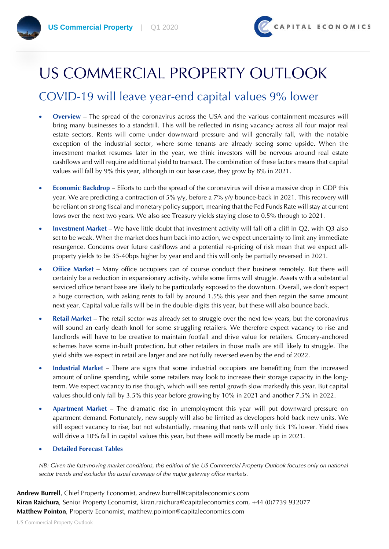

# US COMMERCIAL PROPERTY OUTLOOK

#### COVID-19 will leave year-end capital values 9% lower

- **Overview** The spread of the coronavirus across the USA and the various containment measures will bring many businesses to a standstill. This will be reflected in rising vacancy across all four major real estate sectors. Rents will come under downward pressure and will generally fall, with the notable exception of the industrial sector, where some tenants are already seeing some upside. When the investment market resumes later in the year, we think investors will be nervous around real estate cashflows and will require additional yield to transact. The combination of these factors means that capital values will fall by 9% this year, although in our base case, they grow by 8% in 2021.
- **Economic Backdrop** Efforts to curb the spread of the coronavirus will drive a massive drop in GDP this year. We are predicting a contraction of 5% y/y, before a 7% y/y bounce-back in 2021. This recovery will be reliant on strong fiscal and monetary policy support, meaning that the Fed Funds Rate will stay at current lows over the next two years. We also see Treasury yields staying close to 0.5% through to 2021.
- **Investment Market** We have little doubt that investment activity will fall off a cliff in Q2, with Q3 also set to be weak. When the market does hum back into action, we expect uncertainty to limit any immediate resurgence. Concerns over future cashflows and a potential re-pricing of risk mean that we expect allproperty yields to be 35-40bps higher by year end and this will only be partially reversed in 2021.
- **Office Market** Many office occupiers can of course conduct their business remotely. But there will certainly be a reduction in expansionary activity, while some firms will struggle. Assets with a substantial serviced office tenant base are likely to be particularly exposed to the downturn. Overall, we don't expect a huge correction, with asking rents to fall by around 1.5% this year and then regain the same amount next year. Capital value falls will be in the double-digits this year, but these will also bounce back.
- **Retail Market** The retail sector was already set to struggle over the next few years, but the coronavirus will sound an early death knoll for some struggling retailers. We therefore expect vacancy to rise and landlords will have to be creative to maintain footfall and drive value for retailers. Grocery-anchored schemes have some in-built protection, but other retailers in those malls are still likely to struggle. The yield shifts we expect in retail are larger and are not fully reversed even by the end of 2022.
- **Industrial Market** There are signs that some industrial occupiers are benefitting from the increased amount of online spending, while some retailers may look to increase their storage capacity in the longterm. We expect vacancy to rise though, which will see rental growth slow markedly this year. But capital values should only fall by 3.5% this year before growing by 10% in 2021 and another 7.5% in 2022.
- **Apartment Market** The dramatic rise in unemployment this year will put downward pressure on apartment demand. Fortunately, new supply will also be limited as developers hold back new units. We still expect vacancy to rise, but not substantially, meaning that rents will only tick 1% lower. Yield rises will drive a 10% fall in capital values this year, but these will mostly be made up in 2021.

#### • **Detailed Forecast Tables**

*NB: Given the fast-moving market conditions, this edition of the US Commercial Property Outlook focuses only on national sector trends and excludes the usual coverage of the major gateway office markets.*

**Andrew Burrell**, Chief Property Economist, andrew.burrell@capitaleconomics.com **Kiran Raichura**, Senior Property Economist, kiran.raichura@capitaleconomics.com, +44 (0)7739 932077 **Matthew Pointon**, Property Economist, matthew.pointon@capitaleconomics.com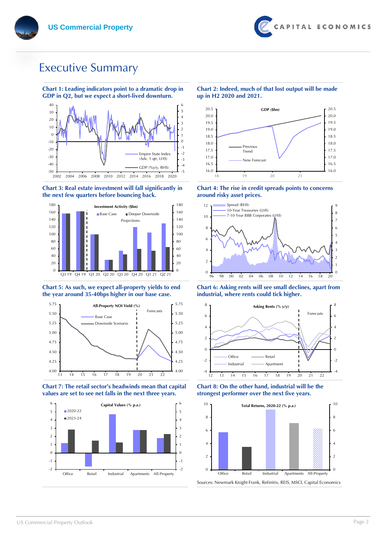## Executive Summary



**Chart 1: Leading indicators point to a dramatic drop in GDP in Q2, but we expect a short-lived downturn.** 

#### **Chart 3: Real estate investment will fall significantly in the next few quarters before bouncing back.**



#### **Chart 5: As such, we expect all-property yields to end the year around 35-40bps higher in our base case.**



**Chart 7: The retail sector's headwinds mean that capital values are set to see net falls in the next three years.** 



#### **Chart 2: Indeed, much of that lost output will be made up in H2 2020 and 2021.**



**Chart 4: The rise in credit spreads points to concerns around risky asset prices.**



**Chart 6: Asking rents will see small declines, apart from industrial, where rents could tick higher.**



**Chart 8: On the other hand, industrial will be the strongest performer over the next five years.**



US Commercial Property Outlook Page 2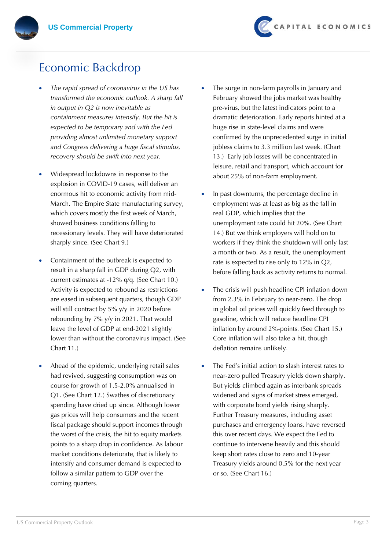

#### Economic Backdrop

- *The rapid spread of coronavirus in the US has transformed the economic outlook. A sharp fall in output in Q2 is now inevitable as containment measures intensify. But the hit is expected to be temporary and with the Fed providing almost unlimited monetary support and Congress delivering a huge fiscal stimulus, recovery should be swift into next year.*
- Widespread lockdowns in response to the explosion in COVID-19 cases, will deliver an enormous hit to economic activity from mid-March. The Empire State manufacturing survey, which covers mostly the first week of March, showed business conditions falling to recessionary levels. They will have deteriorated sharply since. (See Chart 9.)
- Containment of the outbreak is expected to result in a sharp fall in GDP during Q2, with current estimates at -12% q/q. (See Chart 10.) Activity is expected to rebound as restrictions are eased in subsequent quarters, though GDP will still contract by 5% y/y in 2020 before rebounding by 7% y/y in 2021. That would leave the level of GDP at end-2021 slightly lower than without the coronavirus impact. (See Chart 11.)
- Ahead of the epidemic, underlying retail sales had revived, suggesting consumption was on course for growth of 1.5-2.0% annualised in Q1. (See Chart 12.) Swathes of discretionary spending have dried up since. Although lower gas prices will help consumers and the recent fiscal package should support incomes through the worst of the crisis, the hit to equity markets points to a sharp drop in confidence. As labour market conditions deteriorate, that is likely to intensify and consumer demand is expected to follow a similar pattern to GDP over the coming quarters.
- The surge in non-farm payrolls in January and February showed the jobs market was healthy pre-virus, but the latest indicators point to a dramatic deterioration. Early reports hinted at a huge rise in state-level claims and were confirmed by the unprecedented surge in initial jobless claims to 3.3 million last week. (Chart 13.) Early job losses will be concentrated in leisure, retail and transport, which account for about 25% of non-farm employment.
- In past downturns, the percentage decline in employment was at least as big as the fall in real GDP, which implies that the unemployment rate could hit 20%. (See Chart 14.) But we think employers will hold on to workers if they think the shutdown will only last a month or two. As a result, the unemployment rate is expected to rise only to 12% in Q2, before falling back as activity returns to normal.
- The crisis will push headline CPI inflation down from 2.3% in February to near-zero. The drop in global oil prices will quickly feed through to gasoline, which will reduce headline CPI inflation by around 2%-points. (See Chart 15.) Core inflation will also take a hit, though deflation remains unlikely.
- The Fed's initial action to slash interest rates to near-zero pulled Treasury yields down sharply. But yields climbed again as interbank spreads widened and signs of market stress emerged, with corporate bond yields rising sharply. Further Treasury measures, including asset purchases and emergency loans, have reversed this over recent days. We expect the Fed to continue to intervene heavily and this should keep short rates close to zero and 10-year Treasury yields around 0.5% for the next year or so. (See Chart 16.)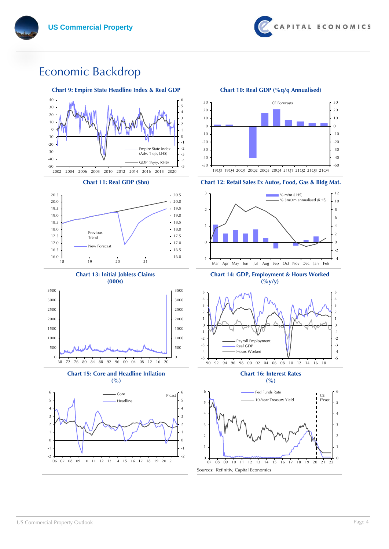

## Economic Backdrop

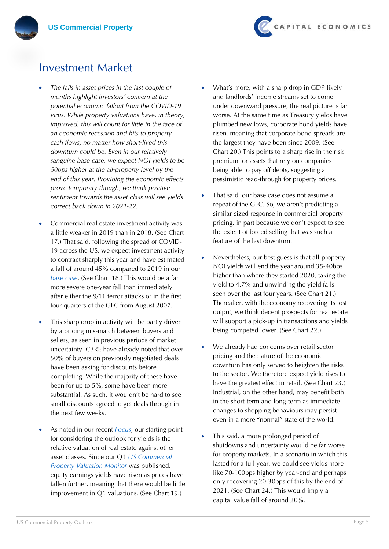#### Investment Market

- *The falls in asset prices in the last couple of months highlight investors' concern at the potential economic fallout from the COVID-19 virus. While property valuations have, in theory, improved, this will count for little in the face of an economic recession and hits to property cash flows, no matter how short-lived this downturn could be. Even in our relatively sanguine base case, we expect NOI yields to be 50bps higher at the all-property level by the end of this year. Providing the economic effects prove temporary though, we think positive sentiment towards the asset class will see yields correct back down in 2021-22.*
- Commercial real estate investment activity was a little weaker in 2019 than in 2018. (See Chart 17.) That said, following the spread of COVID-19 across the US, we expect investment activity to contract sharply this year and have estimated a fall of around 45% compared to 2019 in our *base case*. (See Chart 18.) This would be a far more severe one-year fall than immediately after either the 9/11 terror attacks or in the first four quarters of the GFC from August 2007.
- This sharp drop in activity will be partly driven by a pricing mis-match between buyers and sellers, as seen in previous periods of market uncertainty. CBRE have already noted that over 50% of buyers on previously negotiated deals have been asking for discounts before completing. While the majority of these have been for up to 5%, some have been more substantial. As such, it wouldn't be hard to see small discounts agreed to get deals through in the next few weeks.
- As noted in our recent *Focus*, our starting point for considering the outlook for yields is the relative valuation of real estate against other asset classes. Since our Q1 *US Commercial Property Valuation Monitor* was published, equity earnings yields have risen as prices have fallen further, meaning that there would be little improvement in Q1 valuations. (See Chart 19.)
- What's more, with a sharp drop in GDP likely and landlords' income streams set to come under downward pressure, the real picture is far worse. At the same time as Treasury yields have plumbed new lows, corporate bond yields have risen, meaning that corporate bond spreads are the largest they have been since 2009. (See Chart 20.) This points to a sharp rise in the risk premium for assets that rely on companies being able to pay off debts, suggesting a pessimistic read-through for property prices.
- That said, our base case does not assume a repeat of the GFC. So, we aren't predicting a similar-sized response in commercial property pricing, in part because we don't expect to see the extent of forced selling that was such a feature of the last downturn.
- Nevertheless, our best guess is that all-property NOI yields will end the year around 35-40bps higher than where they started 2020, taking the yield to 4.7% and unwinding the yield falls seen over the last four years. (See Chart 21.) Thereafter, with the economy recovering its lost output, we think decent prospects for real estate will support a pick-up in transactions and yields being competed lower. (See Chart 22.)
- We already had concerns over retail sector pricing and the nature of the economic downturn has only served to heighten the risks to the sector. We therefore expect yield rises to have the greatest effect in retail. (See Chart 23.) Industrial, on the other hand, may benefit both in the short-term and long-term as immediate changes to shopping behaviours may persist even in a more "normal" state of the world.
- This said, a more prolonged period of shutdowns and uncertainty would be far worse for property markets. In a scenario in which this lasted for a full year, we could see yields more like 70-100bps higher by year-end and perhaps only recovering 20-30bps of this by the end of 2021. (See Chart 24.) This would imply a capital value fall of around 20%.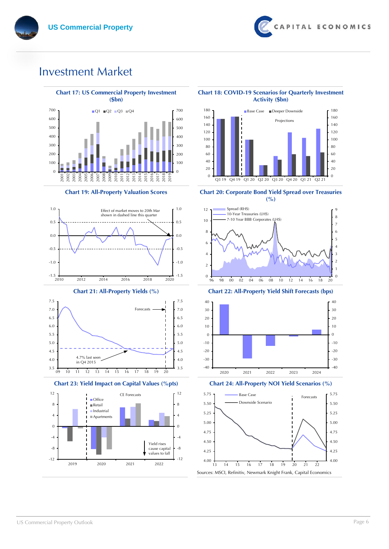#### Investment Market

 $\Omega$ 



2003<br>2003 2003 2003 2004<br>2003 2003 2004 2005 2006 2007<br>2008 2008 2009 2008 2009 2009

0









**Chart 18: COVID-19 Scenarios for Quarterly Investment Activity (\$bn)**



**Chart 19: All-Property Valuation Scores Chart 20: Corporate Bond Yield Spread over Treasuries** 







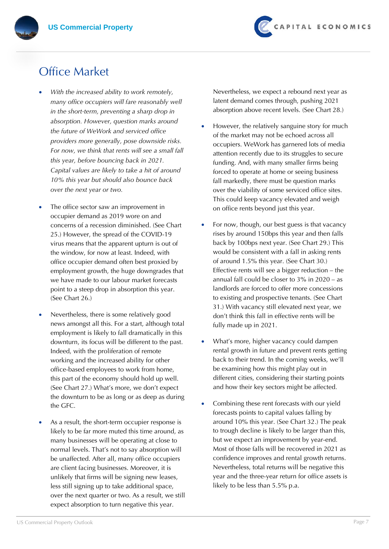## Office Market

- *With the increased ability to work remotely, many office occupiers will fare reasonably well in the short-term, preventing a sharp drop in absorption. However, question marks around the future of WeWork and serviced office providers more generally, pose downside risks. For now, we think that rents will see a small fall this year, before bouncing back in 2021. Capital values are likely to take a hit of around 10% this year but should also bounce back over the next year or two.*
- The office sector saw an improvement in occupier demand as 2019 wore on and concerns of a recession diminished. (See Chart 25.) However, the spread of the COVID-19 virus means that the apparent upturn is out of the window, for now at least. Indeed, with office occupier demand often best proxied by employment growth, the huge downgrades that we have made to our labour market forecasts point to a steep drop in absorption this year. (See Chart 26.)
- Nevertheless, there is some relatively good news amongst all this. For a start, although total employment is likely to fall dramatically in this downturn, its focus will be different to the past. Indeed, with the proliferation of remote working and the increased ability for other office-based employees to work from home, this part of the economy should hold up well. (See Chart 27.) What's more, we don't expect the downturn to be as long or as deep as during the GFC.
- As a result, the short-term occupier response is likely to be far more muted this time around, as many businesses will be operating at close to normal levels. That's not to say absorption will be unaffected. After all, many office occupiers are client facing businesses. Moreover, it is unlikely that firms will be signing new leases, less still signing up to take additional space, over the next quarter or two. As a result, we still expect absorption to turn negative this year.

Nevertheless, we expect a rebound next year as latent demand comes through, pushing 2021 absorption above recent levels. (See Chart 28.)

- However, the relatively sanguine story for much of the market may not be echoed across all occupiers. WeWork has garnered lots of media attention recently due to its struggles to secure funding. And, with many smaller firms being forced to operate at home or seeing business fall markedly, there must be question marks over the viability of some serviced office sites. This could keep vacancy elevated and weigh on office rents beyond just this year.
- For now, though, our best guess is that vacancy rises by around 150bps this year and then falls back by 100bps next year. (See Chart 29.) This would be consistent with a fall in asking rents of around 1.5% this year. (See Chart 30.) Effective rents will see a bigger reduction – the annual fall could be closer to 3% in 2020 – as landlords are forced to offer more concessions to existing and prospective tenants. (See Chart 31.) With vacancy still elevated next year, we don't think this fall in effective rents will be fully made up in 2021.
- What's more, higher vacancy could dampen rental growth in future and prevent rents getting back to their trend. In the coming weeks, we'll be examining how this might play out in different cities, considering their starting points and how their key sectors might be affected.
- Combining these rent forecasts with our yield forecasts points to capital values falling by around 10% this year. (See Chart 32.) The peak to trough decline is likely to be larger than this, but we expect an improvement by year-end. Most of those falls will be recovered in 2021 as confidence improves and rental growth returns. Nevertheless, total returns will be negative this year and the three-year return for office assets is likely to be less than 5.5% p.a.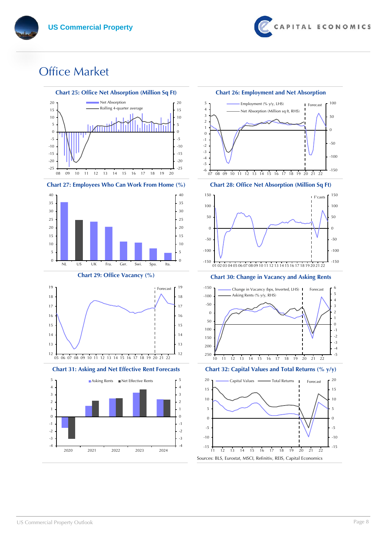

## Office Market













Sources: BLS, Eurostat, MSCI, Refinitiv, REIS, Capital Economics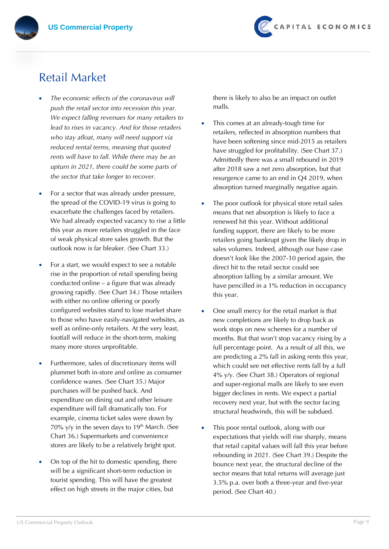## Retail Market

- *The economic effects of the coronavirus will push the retail sector into recession this year. We expect falling revenues for many retailers to lead to rises in vacancy. And for those retailers who stay afloat, many will need support via reduced rental terms, meaning that quoted rents will have to fall. While there may be an upturn in 2021, there could be some parts of the sector that take longer to recover.*
- For a sector that was already under pressure, the spread of the COVID-19 virus is going to exacerbate the challenges faced by retailers. We had already expected vacancy to rise a little this year as more retailers struggled in the face of weak physical store sales growth. But the outlook now is far bleaker. (See Chart 33.)
- For a start, we would expect to see a notable rise in the proportion of retail spending being conducted online – a figure that was already growing rapidly. (See Chart 34.) Those retailers with either no online offering or poorly configured websites stand to lose market share to those who have easily-navigated websites, as well as online-only retailers. At the very least, footfall will reduce in the short-term, making many more stores unprofitable.
- Furthermore, sales of discretionary items will plummet both in-store and online as consumer confidence wanes. (See Chart 35.) Major purchases will be pushed back. And expenditure on dining out and other leisure expenditure will fall dramatically too. For example, cinema ticket sales were down by 70% y/y in the seven days to  $19<sup>th</sup>$  March. (See Chart 36.) Supermarkets and convenience stores are likely to be a relatively bright spot.
- On top of the hit to domestic spending, there will be a significant short-term reduction in tourist spending. This will have the greatest effect on high streets in the major cities, but

there is likely to also be an impact on outlet malls.

- This comes at an already-tough time for retailers, reflected in absorption numbers that have been softening since mid-2015 as retailers have struggled for profitability. (See Chart 37.) Admittedly there was a small rebound in 2019 after 2018 saw a net zero absorption, but that resurgence came to an end in Q4 2019, when absorption turned marginally negative again.
- The poor outlook for physical store retail sales means that net absorption is likely to face a renewed hit this year. Without additional funding support, there are likely to be more retailers going bankrupt given the likely drop in sales volumes. Indeed, although our base case doesn't look like the 2007-10 period again, the direct hit to the retail sector could see absorption falling by a similar amount. We have pencilled in a 1% reduction in occupancy this year.
- One small mercy for the retail market is that new completions are likely to drop back as work stops on new schemes for a number of months. But that won't stop vacancy rising by a full percentage point. As a result of all this, we are predicting a 2% fall in asking rents this year, which could see net effective rents fall by a full 4% y/y. (See Chart 38.) Operators of regional and super-regional malls are likely to see even bigger declines in rents. We expect a partial recovery next year, but with the sector facing structural headwinds, this will be subdued.
- This poor rental outlook, along with our expectations that yields will rise sharply, means that retail capital values will fall this year before rebounding in 2021. (See Chart 39.) Despite the bounce next year, the structural decline of the sector means that total returns will average just 3.5% p.a. over both a three-year and five-year period. (See Chart 40.)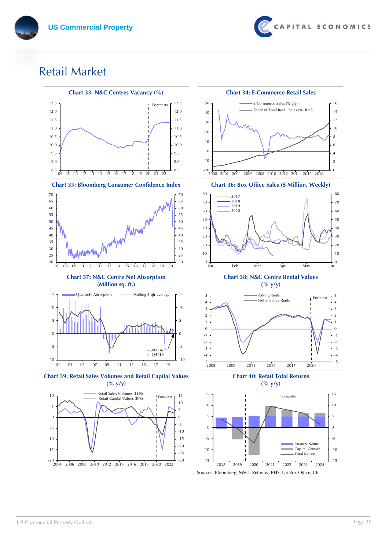

## Retail Market

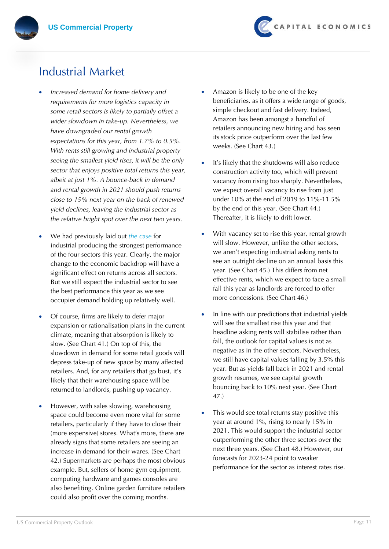#### Industrial Market

- *Increased demand for home delivery and requirements for more logistics capacity in some retail sectors is likely to partially offset a wider slowdown in take-up. Nevertheless, we have downgraded our rental growth expectations for this year, from 1.7% to 0.5%. With rents still growing and industrial property seeing the smallest yield rises, it will be the only sector that enjoys positive total returns this year, albeit at just 1%. A bounce-back in demand and rental growth in 2021 should push returns close to 15% next year on the back of renewed yield declines, leaving the industrial sector as the relative bright spot over the next two years.*
- We had previously laid out *the case* for industrial producing the strongest performance of the four sectors this year. Clearly, the major change to the economic backdrop will have a significant effect on returns across all sectors. But we still expect the industrial sector to see the best performance this year as we see occupier demand holding up relatively well.
- Of course, firms are likely to defer major expansion or rationalisation plans in the current climate, meaning that absorption is likely to slow. (See Chart 41.) On top of this, the slowdown in demand for some retail goods will depress take-up of new space by many affected retailers. And, for any retailers that go bust, it's likely that their warehousing space will be returned to landlords, pushing up vacancy.
- However, with sales slowing, warehousing space could become even more vital for some retailers, particularly if they have to close their (more expensive) stores. What's more, there are already signs that some retailers are seeing an increase in demand for their wares. (See Chart 42.) Supermarkets are perhaps the most obvious example. But, sellers of home gym equipment, computing hardware and games consoles are also benefiting. Online garden furniture retailers could also profit over the coming months.
- Amazon is likely to be one of the key beneficiaries, as it offers a wide range of goods, simple checkout and fast delivery. Indeed, Amazon has been amongst a handful of retailers announcing new hiring and has seen its stock price outperform over the last few weeks. (See Chart 43.)
- It's likely that the shutdowns will also reduce construction activity too, which will prevent vacancy from rising too sharply. Nevertheless, we expect overall vacancy to rise from just under 10% at the end of 2019 to 11%-11.5% by the end of this year. (See Chart 44.) Thereafter, it is likely to drift lower.
- With vacancy set to rise this year, rental growth will slow. However, unlike the other sectors, we aren't expecting industrial asking rents to see an outright decline on an annual basis this year. (See Chart 45.) This differs from net effective rents, which we expect to face a small fall this year as landlords are forced to offer more concessions. (See Chart 46.)
- In line with our predictions that industrial yields will see the smallest rise this year and that headline asking rents will stabilise rather than fall, the outlook for capital values is not as negative as in the other sectors. Nevertheless, we still have capital values falling by 3.5% this year. But as yields fall back in 2021 and rental growth resumes, we see capital growth bouncing back to 10% next year. (See Chart 47.)
- This would see total returns stay positive this year at around 1%, rising to nearly 15% in 2021. This would support the industrial sector outperforming the other three sectors over the next three years. (See Chart 48.) However, our forecasts for 2023-24 point to weaker performance for the sector as interest rates rise.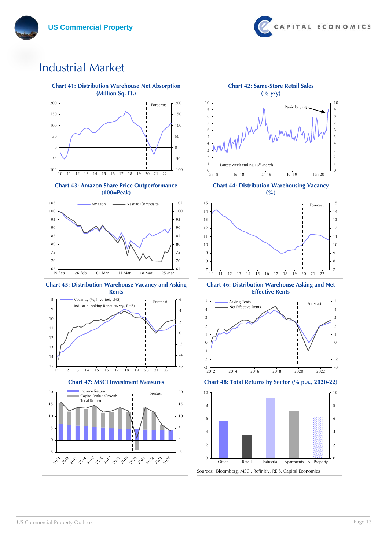## Industrial Market



**Chart 43: Amazon Share Price Outperformance (100=Peak)**









**Chart 44: Distribution Warehousing Vacancy**



**Chart 46: Distribution Warehouse Asking and Net Effective Rents**



**Chart 47: MSCI Investment Measures Chart 48: Total Returns by Sector (% p.a., 2020-22)**

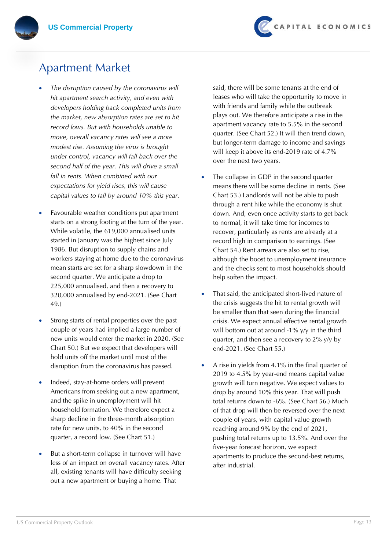

#### Apartment Market

- *The disruption caused by the coronavirus will hit apartment search activity, and even with developers holding back completed units from the market, new absorption rates are set to hit record lows. But with households unable to move, overall vacancy rates will see a more modest rise. Assuming the virus is brought under control, vacancy will fall back over the second half of the year. This will drive a small fall in rents. When combined with our expectations for yield rises, this will cause capital values to fall by around 10% this year.*
- Favourable weather conditions put apartment starts on a strong footing at the turn of the year. While volatile, the 619,000 annualised units started in January was the highest since July 1986. But disruption to supply chains and workers staying at home due to the coronavirus mean starts are set for a sharp slowdown in the second quarter. We anticipate a drop to 225,000 annualised, and then a recovery to 320,000 annualised by end-2021. (See Chart 49.)
- Strong starts of rental properties over the past couple of years had implied a large number of new units would enter the market in 2020. (See Chart 50.) But we expect that developers will hold units off the market until most of the disruption from the coronavirus has passed.
- Indeed, stay-at-home orders will prevent Americans from seeking out a new apartment, and the spike in unemployment will hit household formation. We therefore expect a sharp decline in the three-month absorption rate for new units, to 40% in the second quarter, a record low. (See Chart 51.)
- But a short-term collapse in turnover will have less of an impact on overall vacancy rates. After all, existing tenants will have difficulty seeking out a new apartment or buying a home. That

said, there will be some tenants at the end of leases who will take the opportunity to move in with friends and family while the outbreak plays out. We therefore anticipate a rise in the apartment vacancy rate to 5.5% in the second quarter. (See Chart 52.) It will then trend down, but longer-term damage to income and savings will keep it above its end-2019 rate of 4.7% over the next two years.

- The collapse in GDP in the second quarter means there will be some decline in rents. (See Chart 53.) Landlords will not be able to push through a rent hike while the economy is shut down. And, even once activity starts to get back to normal, it will take time for incomes to recover, particularly as rents are already at a record high in comparison to earnings. (See Chart 54.) Rent arrears are also set to rise, although the boost to unemployment insurance and the checks sent to most households should help soften the impact.
- That said, the anticipated short-lived nature of the crisis suggests the hit to rental growth will be smaller than that seen during the financial crisis. We expect annual effective rental growth will bottom out at around -1% y/y in the third quarter, and then see a recovery to 2% y/y by end-2021. (See Chart 55.)
- A rise in yields from 4.1% in the final quarter of 2019 to 4.5% by year-end means capital value growth will turn negative. We expect values to drop by around 10% this year. That will push total returns down to -6%. (See Chart 56.) Much of that drop will then be reversed over the next couple of years, with capital value growth reaching around 9% by the end of 2021, pushing total returns up to 13.5%. And over the five-year forecast horizon, we expect apartments to produce the second-best returns, after industrial.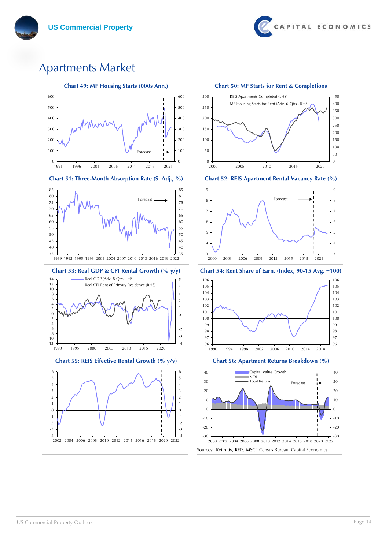

#### Apartments Market



**Chart 51: Three-Month Absorption Rate (S. Adj., %) Chart 52: REIS Apartment Rental Vacancy Rate (%)**





**Chart 55: REIS Effective Rental Growth (% y/y) Chart 56: Apartment Returns Breakdown (%)**









**Chart 53: Real GDP & CPI Rental Growth (% y/y) Chart 54: Rent Share of Earn. (Index, 90-15 Avg. =100)**